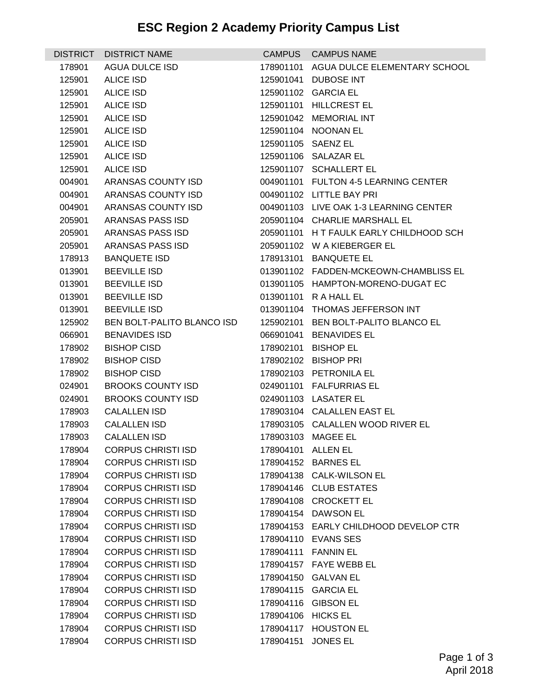## **ESC Region 2 Academy Priority Campus List**

| <b>DISTRICT</b>  | <b>DISTRICT NAME</b>                                   |                    | CAMPUS CAMPUS NAME                      |
|------------------|--------------------------------------------------------|--------------------|-----------------------------------------|
| 178901           | <b>AGUA DULCE ISD</b>                                  |                    | 178901101 AGUA DULCE ELEMENTARY SCHOOL  |
| 125901           | <b>ALICE ISD</b>                                       |                    | 125901041 DUBOSE INT                    |
| 125901           | <b>ALICE ISD</b>                                       |                    | 125901102 GARCIA EL                     |
| 125901           | <b>ALICE ISD</b>                                       |                    | 125901101 HILLCREST EL                  |
| 125901           | <b>ALICE ISD</b>                                       |                    | 125901042 MEMORIAL INT                  |
| 125901           | <b>ALICE ISD</b>                                       |                    | 125901104 NOONAN EL                     |
| 125901           | <b>ALICE ISD</b>                                       |                    | 125901105 SAENZ EL                      |
| 125901           | <b>ALICE ISD</b>                                       |                    | 125901106 SALAZAR EL                    |
| 125901           | <b>ALICE ISD</b>                                       |                    | 125901107 SCHALLERT EL                  |
| 004901           | ARANSAS COUNTY ISD                                     |                    | 004901101 FULTON 4-5 LEARNING CENTER    |
| 004901           | ARANSAS COUNTY ISD                                     |                    | 004901102 LITTLE BAY PRI                |
| 004901           | ARANSAS COUNTY ISD                                     |                    | 004901103 LIVE OAK 1-3 LEARNING CENTER  |
| 205901           | ARANSAS PASS ISD                                       |                    | 205901104 CHARLIE MARSHALL EL           |
| 205901           | ARANSAS PASS ISD                                       |                    | 205901101 H T FAULK EARLY CHILDHOOD SCH |
| 205901           | ARANSAS PASS ISD                                       |                    | 205901102 W A KIEBERGER EL              |
| 178913           | <b>BANQUETE ISD</b>                                    |                    | 178913101 BANQUETE EL                   |
| 013901           | <b>BEEVILLE ISD</b>                                    |                    | 013901102 FADDEN-MCKEOWN-CHAMBLISS EL   |
| 013901           | <b>BEEVILLE ISD</b>                                    |                    | 013901105 HAMPTON-MORENO-DUGAT EC       |
| 013901           | <b>BEEVILLE ISD</b>                                    |                    | 013901101 R A HALL EL                   |
| 013901           | <b>BEEVILLE ISD</b>                                    |                    | 013901104 THOMAS JEFFERSON INT          |
| 125902           | BEN BOLT-PALITO BLANCO ISD                             |                    | 125902101 BEN BOLT-PALITO BLANCO EL     |
| 066901           | <b>BENAVIDES ISD</b>                                   |                    | 066901041 BENAVIDES EL                  |
| 178902           | <b>BISHOP CISD</b>                                     |                    | 178902101 BISHOP EL                     |
| 178902           | <b>BISHOP CISD</b>                                     |                    | 178902102 BISHOP PRI                    |
| 178902           | <b>BISHOP CISD</b>                                     |                    | 178902103 PETRONILA EL                  |
| 024901           | <b>BROOKS COUNTY ISD</b>                               |                    | 024901101 FALFURRIAS EL                 |
| 024901           | <b>BROOKS COUNTY ISD</b>                               |                    | 024901103 LASATER EL                    |
| 178903           | <b>CALALLEN ISD</b>                                    |                    | 178903104 CALALLEN EAST EL              |
| 178903           | <b>CALALLEN ISD</b>                                    |                    | 178903105 CALALLEN WOOD RIVER EL        |
| 178903           | <b>CALALLEN ISD</b><br><b>CORPUS CHRISTI ISD</b>       |                    | 178903103 MAGEE EL                      |
| 178904           |                                                        | 178904101 ALLEN EL | 178904152 BARNES EL                     |
| 178904<br>178904 | <b>CORPUS CHRISTI ISD</b><br><b>CORPUS CHRISTI ISD</b> |                    | 178904138 CALK-WILSON EL                |
|                  | <b>CORPUS CHRISTI ISD</b>                              |                    | 178904146 CLUB ESTATES                  |
| 178904<br>178904 | <b>CORPUS CHRISTI ISD</b>                              |                    | 178904108 CROCKETT EL                   |
| 178904           | <b>CORPUS CHRISTI ISD</b>                              |                    | 178904154 DAWSON EL                     |
| 178904           | <b>CORPUS CHRISTI ISD</b>                              |                    | 178904153 EARLY CHILDHOOD DEVELOP CTR   |
| 178904           | <b>CORPUS CHRISTI ISD</b>                              |                    | 178904110 EVANS SES                     |
| 178904           | <b>CORPUS CHRISTI ISD</b>                              |                    | 178904111 FANNIN EL                     |
| 178904           | <b>CORPUS CHRISTI ISD</b>                              |                    | 178904157 FAYE WEBB EL                  |
| 178904           | <b>CORPUS CHRISTI ISD</b>                              |                    | 178904150 GALVAN EL                     |
| 178904           | <b>CORPUS CHRISTI ISD</b>                              |                    | 178904115 GARCIA EL                     |
| 178904           | <b>CORPUS CHRISTI ISD</b>                              |                    | 178904116 GIBSON EL                     |
| 178904           | <b>CORPUS CHRISTI ISD</b>                              | 178904106 HICKS EL |                                         |
| 178904           | <b>CORPUS CHRISTI ISD</b>                              |                    | 178904117 HOUSTON EL                    |
| 178904           | <b>CORPUS CHRISTI ISD</b>                              | 178904151          | <b>JONES EL</b>                         |
|                  |                                                        |                    |                                         |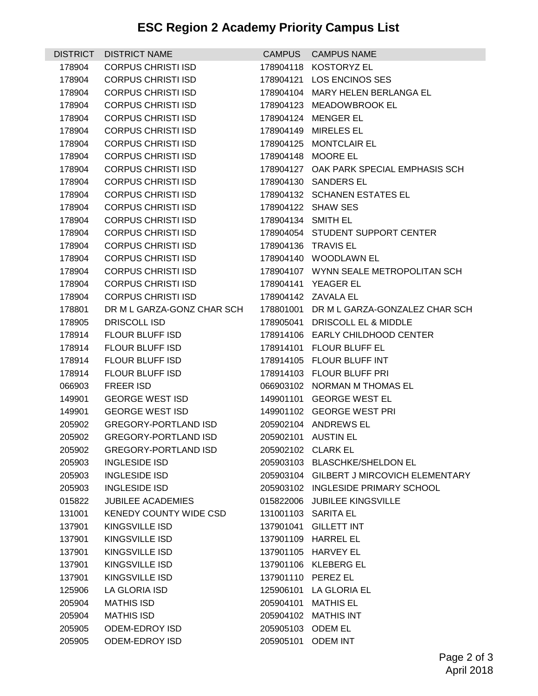## **ESC Region 2 Academy Priority Campus List**

| <b>DISTRICT</b> | <b>DISTRICT NAME</b>          |                    | CAMPUS CAMPUS NAME                       |
|-----------------|-------------------------------|--------------------|------------------------------------------|
| 178904          | <b>CORPUS CHRISTI ISD</b>     |                    | 178904118 KOSTORYZ EL                    |
| 178904          | <b>CORPUS CHRISTI ISD</b>     |                    | 178904121 LOS ENCINOS SES                |
| 178904          | <b>CORPUS CHRISTI ISD</b>     |                    | 178904104 MARY HELEN BERLANGA EL         |
| 178904          | <b>CORPUS CHRISTI ISD</b>     |                    | 178904123 MEADOWBROOK EL                 |
| 178904          | <b>CORPUS CHRISTI ISD</b>     |                    | 178904124 MENGER EL                      |
| 178904          | <b>CORPUS CHRISTI ISD</b>     |                    | 178904149 MIRELES EL                     |
| 178904          | <b>CORPUS CHRISTI ISD</b>     |                    | 178904125 MONTCLAIR EL                   |
| 178904          | <b>CORPUS CHRISTI ISD</b>     |                    | 178904148 MOORE EL                       |
| 178904          | <b>CORPUS CHRISTI ISD</b>     |                    | 178904127 OAK PARK SPECIAL EMPHASIS SCH  |
| 178904          | <b>CORPUS CHRISTI ISD</b>     |                    | 178904130 SANDERS EL                     |
| 178904          | <b>CORPUS CHRISTI ISD</b>     |                    | 178904132 SCHANEN ESTATES EL             |
| 178904          | <b>CORPUS CHRISTI ISD</b>     |                    | 178904122 SHAW SES                       |
| 178904          | <b>CORPUS CHRISTI ISD</b>     | 178904134 SMITH EL |                                          |
| 178904          | <b>CORPUS CHRISTI ISD</b>     |                    | 178904054 STUDENT SUPPORT CENTER         |
| 178904          | <b>CORPUS CHRISTI ISD</b>     |                    | 178904136 TRAVIS EL                      |
| 178904          | <b>CORPUS CHRISTI ISD</b>     |                    | 178904140 WOODLAWN EL                    |
| 178904          | <b>CORPUS CHRISTI ISD</b>     |                    | 178904107 WYNN SEALE METROPOLITAN SCH    |
| 178904          | <b>CORPUS CHRISTI ISD</b>     |                    | 178904141 YEAGER EL                      |
| 178904          | <b>CORPUS CHRISTI ISD</b>     |                    | 178904142 ZAVALA EL                      |
| 178801          | DR M L GARZA-GONZ CHAR SCH    |                    | 178801001 DR M L GARZA-GONZALEZ CHAR SCH |
| 178905          | DRISCOLL ISD                  |                    | 178905041 DRISCOLL EL & MIDDLE           |
| 178914          | <b>FLOUR BLUFF ISD</b>        |                    | 178914106 EARLY CHILDHOOD CENTER         |
| 178914          | FLOUR BLUFF ISD               |                    | 178914101 FLOUR BLUFF EL                 |
| 178914          | FLOUR BLUFF ISD               |                    | 178914105 FLOUR BLUFF INT                |
| 178914          | FLOUR BLUFF ISD               |                    | 178914103 FLOUR BLUFF PRI                |
| 066903          | <b>FREER ISD</b>              |                    | 066903102 NORMAN M THOMAS EL             |
| 149901          | <b>GEORGE WEST ISD</b>        |                    | 149901101 GEORGE WEST EL                 |
| 149901          | <b>GEORGE WEST ISD</b>        |                    | 149901102 GEORGE WEST PRI                |
| 205902          | <b>GREGORY-PORTLAND ISD</b>   |                    | 205902104 ANDREWS EL                     |
| 205902          | <b>GREGORY-PORTLAND ISD</b>   |                    | 205902101 AUSTIN EL                      |
| 205902          | <b>GREGORY-PORTLAND ISD</b>   |                    | 205902102 CLARK EL                       |
| 205903          | <b>INGLESIDE ISD</b>          |                    | 205903103 BLASCHKE/SHELDON EL            |
| 205903          | <b>INGLESIDE ISD</b>          |                    | 205903104 GILBERT J MIRCOVICH ELEMENTARY |
| 205903          | <b>INGLESIDE ISD</b>          |                    | 205903102 INGLESIDE PRIMARY SCHOOL       |
| 015822          | <b>JUBILEE ACADEMIES</b>      |                    | 015822006 JUBILEE KINGSVILLE             |
| 131001          | <b>KENEDY COUNTY WIDE CSD</b> |                    | 131001103 SARITA EL                      |
| 137901          | <b>KINGSVILLE ISD</b>         |                    | 137901041 GILLETT INT                    |
| 137901          | KINGSVILLE ISD                |                    | 137901109 HARREL EL                      |
| 137901          | <b>KINGSVILLE ISD</b>         |                    | 137901105 HARVEY EL                      |
| 137901          | <b>KINGSVILLE ISD</b>         |                    | 137901106 KLEBERG EL                     |
| 137901          | <b>KINGSVILLE ISD</b>         |                    | 137901110 PEREZ EL                       |
| 125906          | LA GLORIA ISD                 |                    | 125906101 LA GLORIA EL                   |
| 205904          | <b>MATHIS ISD</b>             |                    | 205904101 MATHIS EL                      |
| 205904          | <b>MATHIS ISD</b>             |                    | 205904102 MATHIS INT                     |
| 205905          | <b>ODEM-EDROY ISD</b>         | 205905103 ODEM EL  |                                          |
| 205905          | <b>ODEM-EDROY ISD</b>         | 205905101          | <b>ODEM INT</b>                          |